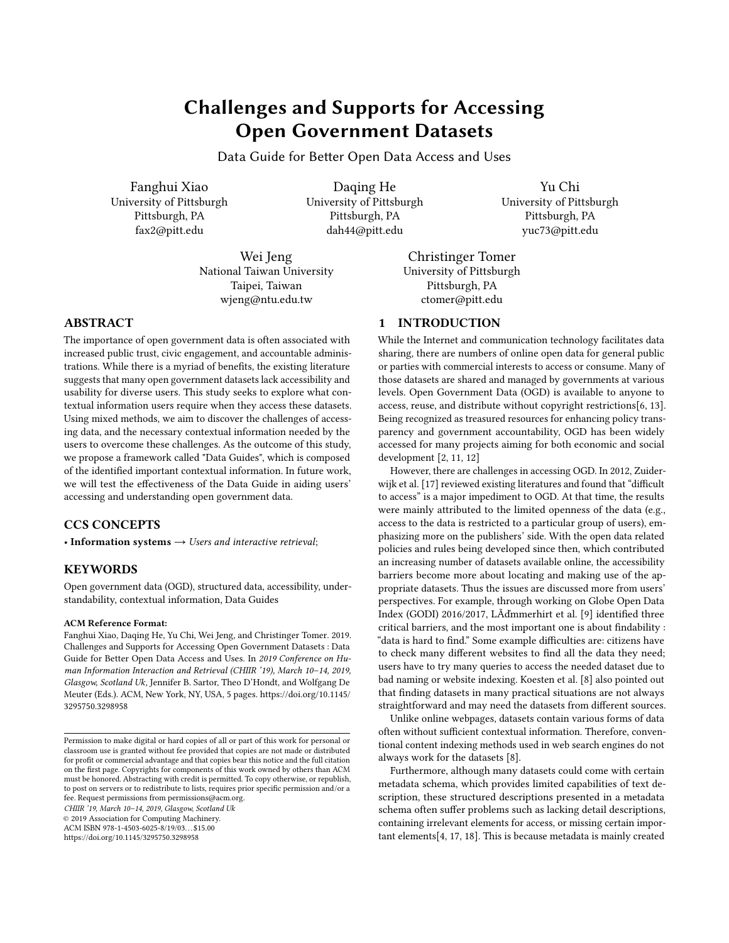# Challenges and Supports for Accessing Open Government Datasets

Data Guide for Better Open Data Access and Uses

Fanghui Xiao University of Pittsburgh Pittsburgh, PA fax2@pitt.edu

Daqing He University of Pittsburgh Pittsburgh, PA dah44@pitt.edu

Yu Chi University of Pittsburgh Pittsburgh, PA yuc73@pitt.edu

Wei Jeng National Taiwan University Taipei, Taiwan wjeng@ntu.edu.tw

# ABSTRACT

The importance of open government data is often associated with increased public trust, civic engagement, and accountable administrations. While there is a myriad of benefits, the existing literature suggests that many open government datasets lack accessibility and usability for diverse users. This study seeks to explore what contextual information users require when they access these datasets. Using mixed methods, we aim to discover the challenges of accessing data, and the necessary contextual information needed by the users to overcome these challenges. As the outcome of this study, we propose a framework called "Data Guides", which is composed of the identified important contextual information. In future work, we will test the effectiveness of the Data Guide in aiding users' accessing and understanding open government data.

# CCS CONCEPTS

• Information systems  $\rightarrow$  Users and interactive retrieval;

# **KEYWORDS**

Open government data (OGD), structured data, accessibility, understandability, contextual information, Data Guides

#### ACM Reference Format:

Fanghui Xiao, Daqing He, Yu Chi, Wei Jeng, and Christinger Tomer. 2019. Challenges and Supports for Accessing Open Government Datasets : Data Guide for Better Open Data Access and Uses. In 2019 Conference on Human Information Interaction and Retrieval (CHIIR '19), March 10–14, 2019, Glasgow, Scotland Uk, Jennifer B. Sartor, Theo D'Hondt, and Wolfgang De Meuter (Eds.). ACM, New York, NY, USA, [5](#page-4-0) pages. [https://doi.org/10.1145/](https://doi.org/10.1145/3295750.3298958) [3295750.3298958](https://doi.org/10.1145/3295750.3298958)

 $\circledcirc$  2019 Association for Computing Machinery. ACM ISBN 978-1-4503-6025-8/19/03. . . \$15.00 <https://doi.org/10.1145/3295750.3298958>

#### 1 INTRODUCTION

Christinger Tomer University of Pittsburgh Pittsburgh, PA ctomer@pitt.edu

While the Internet and communication technology facilitates data sharing, there are numbers of online open data for general public or parties with commercial interests to access or consume. Many of those datasets are shared and managed by governments at various levels. Open Government Data (OGD) is available to anyone to access, reuse, and distribute without copyright restrictions[\[6,](#page-4-1) [13\]](#page-4-2). Being recognized as treasured resources for enhancing policy transparency and government accountability, OGD has been widely accessed for many projects aiming for both economic and social development [\[2,](#page-4-3) [11,](#page-4-4) [12\]](#page-4-5)

However, there are challenges in accessing OGD. In 2012, Zuiderwijk et al. [\[17\]](#page-4-6) reviewed existing literatures and found that "difficult to access" is a major impediment to OGD. At that time, the results were mainly attributed to the limited openness of the data (e.g., access to the data is restricted to a particular group of users), emphasizing more on the publishers' side. With the open data related policies and rules being developed since then, which contributed an increasing number of datasets available online, the accessibility barriers become more about locating and making use of the appropriate datasets. Thus the issues are discussed more from users' perspectives. For example, through working on Globe Open Data Index (GODI) 2016/2017, LÃďmmerhirt et al. [\[9\]](#page-4-7) identified three critical barriers, and the most important one is about findability : "data is hard to find." Some example difficulties are: citizens have to check many different websites to find all the data they need; users have to try many queries to access the needed dataset due to bad naming or website indexing. Koesten et al. [\[8\]](#page-4-8) also pointed out that finding datasets in many practical situations are not always straightforward and may need the datasets from different sources.

Unlike online webpages, datasets contain various forms of data often without sufficient contextual information. Therefore, conventional content indexing methods used in web search engines do not always work for the datasets [\[8\]](#page-4-8).

Furthermore, although many datasets could come with certain metadata schema, which provides limited capabilities of text description, these structured descriptions presented in a metadata schema often suffer problems such as lacking detail descriptions, containing irrelevant elements for access, or missing certain important elements[\[4,](#page-4-9) [17,](#page-4-6) [18\]](#page-4-10). This is because metadata is mainly created

Permission to make digital or hard copies of all or part of this work for personal or classroom use is granted without fee provided that copies are not made or distributed for profit or commercial advantage and that copies bear this notice and the full citation on the first page. Copyrights for components of this work owned by others than ACM must be honored. Abstracting with credit is permitted. To copy otherwise, or republish, to post on servers or to redistribute to lists, requires prior specific permission and/or a fee. Request permissions from permissions@acm.org. CHIIR '19, March 10–14, 2019, Glasgow, Scotland Uk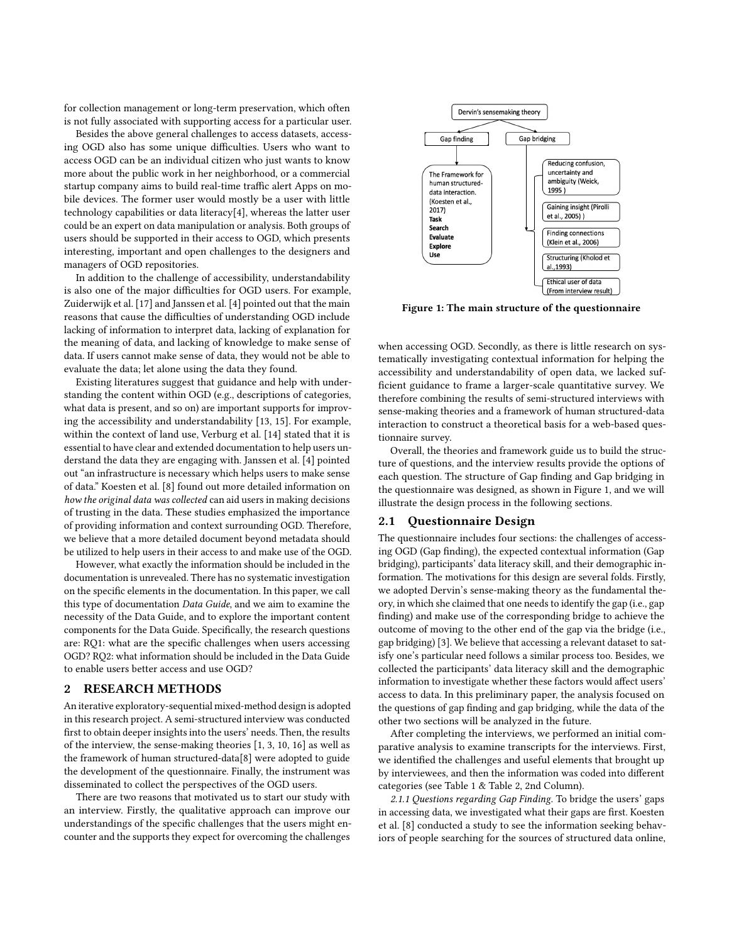for collection management or long-term preservation, which often is not fully associated with supporting access for a particular user.

Besides the above general challenges to access datasets, accessing OGD also has some unique difficulties. Users who want to access OGD can be an individual citizen who just wants to know more about the public work in her neighborhood, or a commercial startup company aims to build real-time traffic alert Apps on mobile devices. The former user would mostly be a user with little technology capabilities or data literacy[\[4\]](#page-4-9), whereas the latter user could be an expert on data manipulation or analysis. Both groups of users should be supported in their access to OGD, which presents interesting, important and open challenges to the designers and managers of OGD repositories.

In addition to the challenge of accessibility, understandability is also one of the major difficulties for OGD users. For example, Zuiderwijk et al. [\[17\]](#page-4-6) and Janssen et al. [\[4\]](#page-4-9) pointed out that the main reasons that cause the difficulties of understanding OGD include lacking of information to interpret data, lacking of explanation for the meaning of data, and lacking of knowledge to make sense of data. If users cannot make sense of data, they would not be able to evaluate the data; let alone using the data they found.

Existing literatures suggest that guidance and help with understanding the content within OGD (e.g., descriptions of categories, what data is present, and so on) are important supports for improving the accessibility and understandability [\[13,](#page-4-2) [15\]](#page-4-11). For example, within the context of land use, Verburg et al. [\[14\]](#page-4-12) stated that it is essential to have clear and extended documentation to help users understand the data they are engaging with. Janssen et al. [\[4\]](#page-4-9) pointed out "an infrastructure is necessary which helps users to make sense of data." Koesten et al. [\[8\]](#page-4-8) found out more detailed information on how the original data was collected can aid users in making decisions of trusting in the data. These studies emphasized the importance of providing information and context surrounding OGD. Therefore, we believe that a more detailed document beyond metadata should be utilized to help users in their access to and make use of the OGD.

However, what exactly the information should be included in the documentation is unrevealed. There has no systematic investigation on the specific elements in the documentation. In this paper, we call this type of documentation Data Guide, and we aim to examine the necessity of the Data Guide, and to explore the important content components for the Data Guide. Specifically, the research questions are: RQ1: what are the specific challenges when users accessing OGD? RQ2: what information should be included in the Data Guide to enable users better access and use OGD?

## 2 RESEARCH METHODS

An iterative exploratory-sequential mixed-method design is adopted in this research project. A semi-structured interview was conducted first to obtain deeper insights into the users' needs. Then, the results of the interview, the sense-making theories [\[1,](#page-4-13) [3,](#page-4-14) [10,](#page-4-15) [16\]](#page-4-16) as well as the framework of human structured-data[\[8\]](#page-4-8) were adopted to guide the development of the questionnaire. Finally, the instrument was disseminated to collect the perspectives of the OGD users.

There are two reasons that motivated us to start our study with an interview. Firstly, the qualitative approach can improve our understandings of the specific challenges that the users might encounter and the supports they expect for overcoming the challenges

<span id="page-1-0"></span>

Figure 1: The main structure of the questionnaire

when accessing OGD. Secondly, as there is little research on systematically investigating contextual information for helping the accessibility and understandability of open data, we lacked sufficient guidance to frame a larger-scale quantitative survey. We therefore combining the results of semi-structured interviews with sense-making theories and a framework of human structured-data interaction to construct a theoretical basis for a web-based questionnaire survey.

Overall, the theories and framework guide us to build the structure of questions, and the interview results provide the options of each question. The structure of Gap finding and Gap bridging in the questionnaire was designed, as shown in Figure [1,](#page-1-0) and we will illustrate the design process in the following sections.

#### 2.1 Questionnaire Design

The questionnaire includes four sections: the challenges of accessing OGD (Gap finding), the expected contextual information (Gap bridging), participants' data literacy skill, and their demographic information. The motivations for this design are several folds. Firstly, we adopted Dervin's sense-making theory as the fundamental theory, in which she claimed that one needs to identify the gap (i.e., gap finding) and make use of the corresponding bridge to achieve the outcome of moving to the other end of the gap via the bridge (i.e., gap bridging) [\[3\]](#page-4-14). We believe that accessing a relevant dataset to satisfy one's particular need follows a similar process too. Besides, we collected the participants' data literacy skill and the demographic information to investigate whether these factors would affect users' access to data. In this preliminary paper, the analysis focused on the questions of gap finding and gap bridging, while the data of the other two sections will be analyzed in the future.

After completing the interviews, we performed an initial comparative analysis to examine transcripts for the interviews. First, we identified the challenges and useful elements that brought up by interviewees, and then the information was coded into different categories (see Table [1](#page-2-0) & Table [2,](#page-2-1) 2nd Column).

2.1.1 Questions regarding Gap Finding. To bridge the users' gaps in accessing data, we investigated what their gaps are first. Koesten et al. [\[8\]](#page-4-8) conducted a study to see the information seeking behaviors of people searching for the sources of structured data online,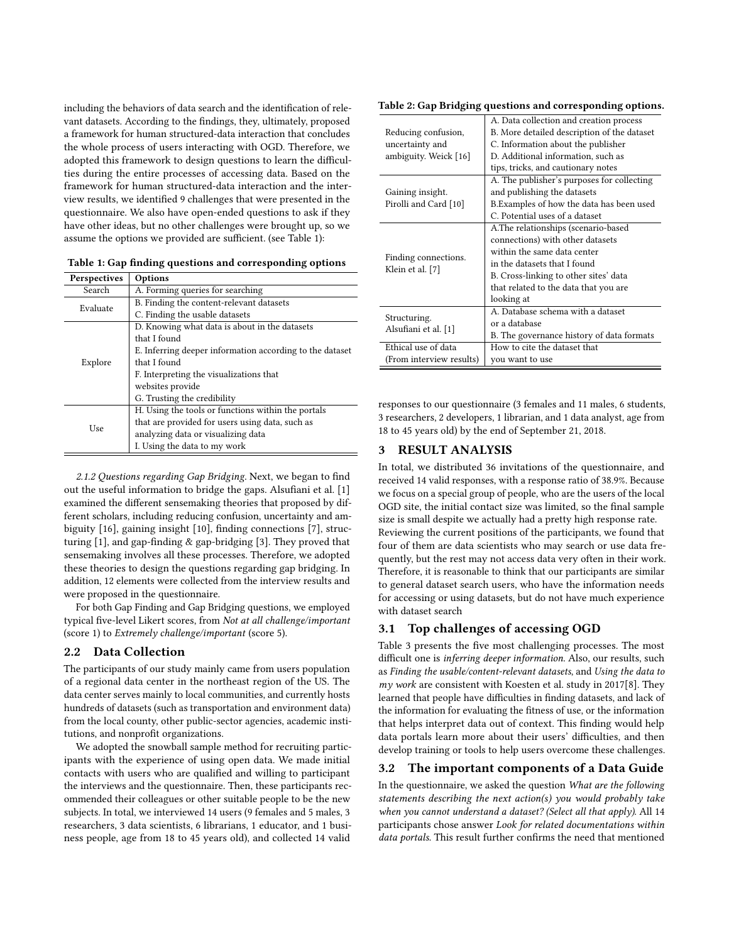including the behaviors of data search and the identification of relevant datasets. According to the findings, they, ultimately, proposed a framework for human structured-data interaction that concludes the whole process of users interacting with OGD. Therefore, we adopted this framework to design questions to learn the difficulties during the entire processes of accessing data. Based on the framework for human structured-data interaction and the interview results, we identified 9 challenges that were presented in the questionnaire. We also have open-ended questions to ask if they have other ideas, but no other challenges were brought up, so we assume the options we provided are sufficient. (see Table [1\)](#page-2-0):

<span id="page-2-0"></span>

| Perspectives | Options                                                  |
|--------------|----------------------------------------------------------|
| Search       | A. Forming queries for searching                         |
| Evaluate     | B. Finding the content-relevant datasets                 |
|              | C. Finding the usable datasets                           |
| Explore      | D. Knowing what data is about in the datasets            |
|              | that I found                                             |
|              | E. Inferring deeper information according to the dataset |
|              | that I found                                             |
|              | F. Interpreting the visualizations that                  |
|              | websites provide                                         |
|              | G. Trusting the credibility                              |
| Use          | H. Using the tools or functions within the portals       |
|              | that are provided for users using data, such as          |
|              | analyzing data or visualizing data                       |
|              | I. Using the data to my work                             |

2.1.2 Questions regarding Gap Bridging. Next, we began to find out the useful information to bridge the gaps. Alsufiani et al. [\[1\]](#page-4-13) examined the different sensemaking theories that proposed by different scholars, including reducing confusion, uncertainty and ambiguity [\[16\]](#page-4-16), gaining insight [\[10\]](#page-4-15), finding connections [\[7\]](#page-4-17), structuring [\[1\]](#page-4-13), and gap-finding & gap-bridging [\[3\]](#page-4-14). They proved that sensemaking involves all these processes. Therefore, we adopted these theories to design the questions regarding gap bridging. In addition, 12 elements were collected from the interview results and were proposed in the questionnaire.

For both Gap Finding and Gap Bridging questions, we employed typical five-level Likert scores, from Not at all challenge/important (score 1) to Extremely challenge/important (score 5).

## 2.2 Data Collection

The participants of our study mainly came from users population of a regional data center in the northeast region of the US. The data center serves mainly to local communities, and currently hosts hundreds of datasets (such as transportation and environment data) from the local county, other public-sector agencies, academic institutions, and nonprofit organizations.

We adopted the snowball sample method for recruiting participants with the experience of using open data. We made initial contacts with users who are qualified and willing to participant the interviews and the questionnaire. Then, these participants recommended their colleagues or other suitable people to be the new subjects. In total, we interviewed 14 users (9 females and 5 males, 3 researchers, 3 data scientists, 6 librarians, 1 educator, and 1 business people, age from 18 to 45 years old), and collected 14 valid

#### <span id="page-2-1"></span>Table 2: Gap Bridging questions and corresponding options.

|                          | A. Data collection and creation process     |  |  |
|--------------------------|---------------------------------------------|--|--|
| Reducing confusion,      | B. More detailed description of the dataset |  |  |
| uncertainty and          | C. Information about the publisher          |  |  |
| ambiguity. Weick [16]    | D. Additional information, such as          |  |  |
|                          | tips, tricks, and cautionary notes          |  |  |
|                          | A. The publisher's purposes for collecting  |  |  |
| Gaining insight.         | and publishing the datasets                 |  |  |
| Pirolli and Card [10]    | B.Examples of how the data has been used    |  |  |
|                          | C. Potential uses of a dataset              |  |  |
|                          | A.The relationships (scenario-based         |  |  |
|                          | connections) with other datasets            |  |  |
|                          | within the same data center                 |  |  |
| Finding connections.     | in the datasets that I found                |  |  |
| Klein et al. [7]         | B. Cross-linking to other sites' data       |  |  |
|                          | that related to the data that you are       |  |  |
|                          | looking at                                  |  |  |
| Structuring.             | A. Database schema with a dataset           |  |  |
|                          | or a database                               |  |  |
| Alsufiani et al. [1]     | B. The governance history of data formats   |  |  |
| Ethical use of data      | How to cite the dataset that                |  |  |
| (From interview results) | you want to use                             |  |  |

responses to our questionnaire (3 females and 11 males, 6 students, 3 researchers, 2 developers, 1 librarian, and 1 data analyst, age from 18 to 45 years old) by the end of September 21, 2018.

# 3 RESULT ANALYSIS

In total, we distributed 36 invitations of the questionnaire, and received 14 valid responses, with a response ratio of 38.9%. Because we focus on a special group of people, who are the users of the local OGD site, the initial contact size was limited, so the final sample size is small despite we actually had a pretty high response rate. Reviewing the current positions of the participants, we found that four of them are data scientists who may search or use data frequently, but the rest may not access data very often in their work. Therefore, it is reasonable to think that our participants are similar to general dataset search users, who have the information needs for accessing or using datasets, but do not have much experience with dataset search

## 3.1 Top challenges of accessing OGD

Table [3](#page-3-0) presents the five most challenging processes. The most difficult one is inferring deeper information. Also, our results, such as Finding the usable/content-relevant datasets, and Using the data to  $my$  work are consistent with Koesten et al. study in 2017[\[8\]](#page-4-8). They learned that people have difficulties in finding datasets, and lack of the information for evaluating the fitness of use, or the information that helps interpret data out of context. This finding would help data portals learn more about their users' difficulties, and then develop training or tools to help users overcome these challenges.

#### 3.2 The important components of a Data Guide

In the questionnaire, we asked the question What are the following statements describing the next action(s) you would probably take when you cannot understand a dataset? (Select all that apply). All 14 participants chose answer Look for related documentations within data portals. This result further confirms the need that mentioned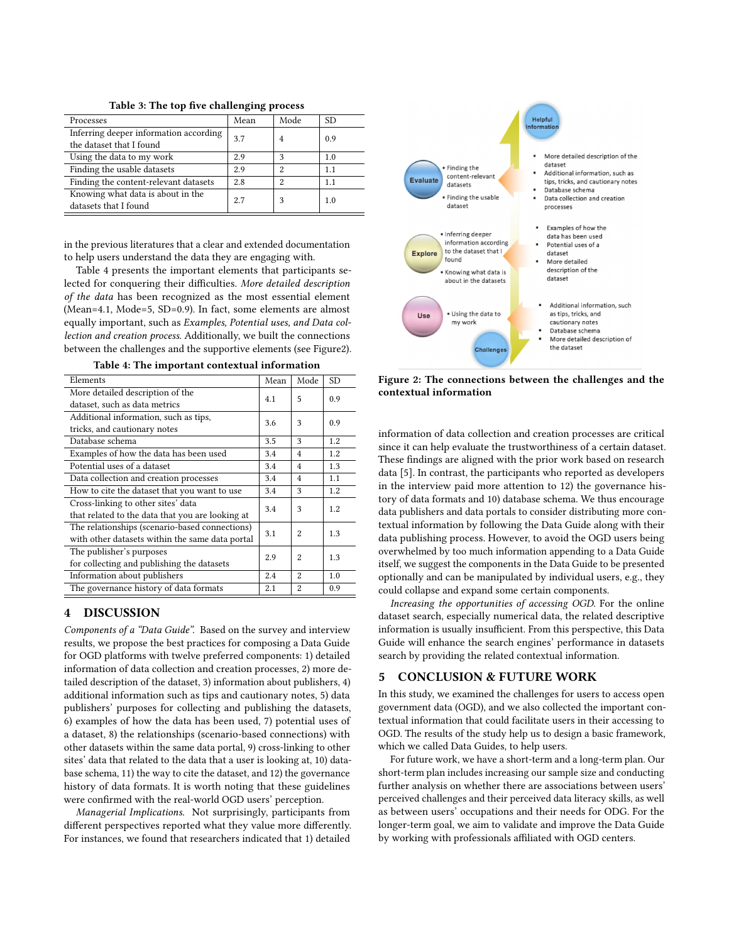|  |  |  |  | <b>Table 3: The top five challenging process</b> |  |
|--|--|--|--|--------------------------------------------------|--|
|--|--|--|--|--------------------------------------------------|--|

<span id="page-3-0"></span>

| Processes                              | Mean | Mode | SD. |  |
|----------------------------------------|------|------|-----|--|
| Inferring deeper information according | 3.7  | 4    | 0.9 |  |
| the dataset that I found               |      |      |     |  |
| Using the data to my work              | 2.9  | 3    | 1.0 |  |
| Finding the usable datasets            | 29   | 2    | 11  |  |
| Finding the content-relevant datasets  | 2.8  | 2    | 1.1 |  |
| Knowing what data is about in the      | 2.7  | 3    | 1.0 |  |
| datasets that I found                  |      |      |     |  |

in the previous literatures that a clear and extended documentation to help users understand the data they are engaging with.

Table [4](#page-3-1) presents the important elements that participants selected for conquering their difficulties. More detailed description of the data has been recognized as the most essential element (Mean=4.1, Mode=5, SD=0.9). In fact, some elements are almost equally important, such as Examples, Potential uses, and Data collection and creation process. Additionally, we built the connections between the challenges and the supportive elements (see Figur[e2\)](#page-3-2).

Table 4: The important contextual information

<span id="page-3-1"></span>

| Elements                                               |     | Mode                     | <b>SD</b> |
|--------------------------------------------------------|-----|--------------------------|-----------|
| More detailed description of the                       |     | 5                        | 0.9       |
| dataset, such as data metrics                          |     |                          |           |
| Additional information, such as tips,                  |     | 3                        | 0.9       |
| tricks, and cautionary notes                           | 3.6 |                          |           |
| Database schema                                        | 3.5 | 3                        | 1.2       |
| Examples of how the data has been used                 |     | $\overline{4}$           | 1.2       |
| Potential uses of a dataset                            | 3.4 | $\overline{4}$           | 1.3       |
| Data collection and creation processes                 |     | $\overline{4}$           | 1.1       |
| How to cite the dataset that you want to use           |     | 3                        | 1.2       |
| Cross-linking to other sites' data                     |     | 3                        | 1.2       |
| that related to the data that you are looking at       |     |                          |           |
| The relationships (scenario-based connections)         |     | $\overline{\mathcal{L}}$ | 1.3       |
| 3.1<br>with other datasets within the same data portal |     |                          |           |
| The publisher's purposes                               |     | $\overline{\mathcal{L}}$ | 1.3       |
| for collecting and publishing the datasets             | 2.9 |                          |           |
| Information about publishers                           |     | $\mathfrak{D}$           | 1.0       |
| The governance history of data formats                 |     | 2                        | 0.9       |

## 4 DISCUSSION

Components of a "Data Guide". Based on the survey and interview results, we propose the best practices for composing a Data Guide for OGD platforms with twelve preferred components: 1) detailed information of data collection and creation processes, 2) more detailed description of the dataset, 3) information about publishers, 4) additional information such as tips and cautionary notes, 5) data publishers' purposes for collecting and publishing the datasets, 6) examples of how the data has been used, 7) potential uses of a dataset, 8) the relationships (scenario-based connections) with other datasets within the same data portal, 9) cross-linking to other sites' data that related to the data that a user is looking at, 10) database schema, 11) the way to cite the dataset, and 12) the governance history of data formats. It is worth noting that these guidelines were confirmed with the real-world OGD users' perception.

Managerial Implications. Not surprisingly, participants from different perspectives reported what they value more differently. For instances, we found that researchers indicated that 1) detailed

<span id="page-3-2"></span>

Figure 2: The connections between the challenges and the contextual information

information of data collection and creation processes are critical since it can help evaluate the trustworthiness of a certain dataset. These findings are aligned with the prior work based on research data [\[5\]](#page-4-18). In contrast, the participants who reported as developers in the interview paid more attention to 12) the governance history of data formats and 10) database schema. We thus encourage data publishers and data portals to consider distributing more contextual information by following the Data Guide along with their data publishing process. However, to avoid the OGD users being overwhelmed by too much information appending to a Data Guide itself, we suggest the components in the Data Guide to be presented optionally and can be manipulated by individual users, e.g., they could collapse and expand some certain components.

Increasing the opportunities of accessing OGD. For the online dataset search, especially numerical data, the related descriptive information is usually insufficient. From this perspective, this Data Guide will enhance the search engines' performance in datasets search by providing the related contextual information.

### 5 CONCLUSION & FUTURE WORK

In this study, we examined the challenges for users to access open government data (OGD), and we also collected the important contextual information that could facilitate users in their accessing to OGD. The results of the study help us to design a basic framework, which we called Data Guides, to help users.

For future work, we have a short-term and a long-term plan. Our short-term plan includes increasing our sample size and conducting further analysis on whether there are associations between users' perceived challenges and their perceived data literacy skills, as well as between users' occupations and their needs for ODG. For the longer-term goal, we aim to validate and improve the Data Guide by working with professionals affiliated with OGD centers.